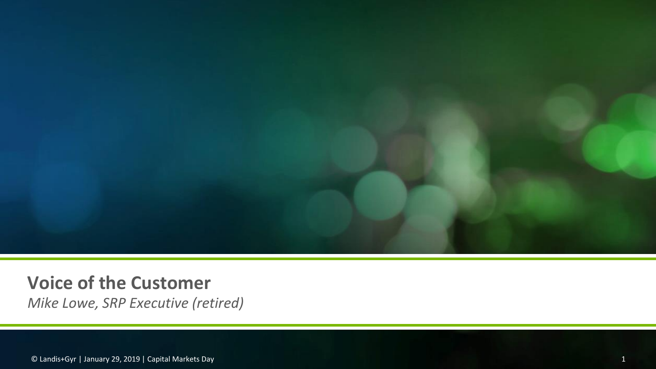

# **Voice of the Customer**

*Mike Lowe, SRP Executive (retired)*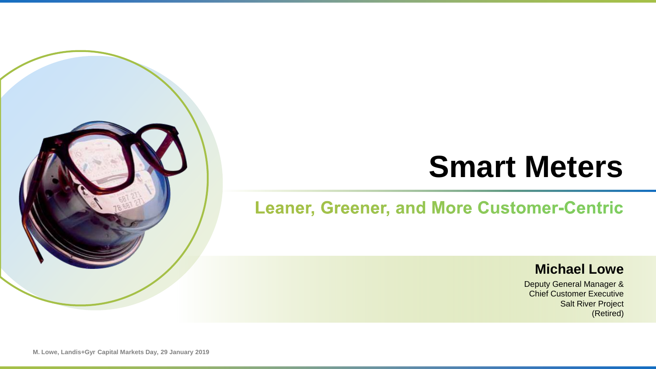# **Smart Meters**

# **Leaner, Greener, and More Customer-Centric**

#### **Michael Lowe**

Deputy General Manager & Chief Customer Executive **Salt River Project** (Retired)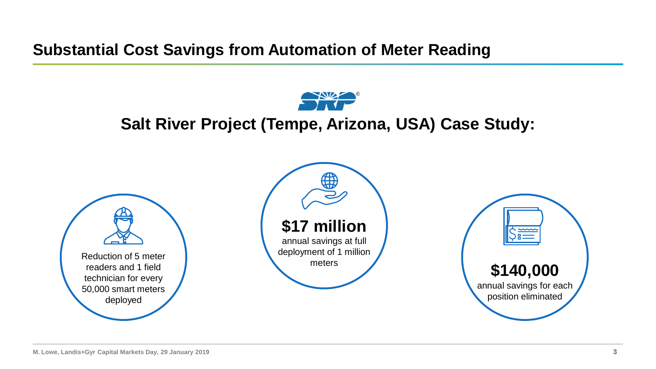**Substantial Cost Savings from Automation of Meter Reading**



# **Salt River Project (Tempe, Arizona, USA) Case Study:**





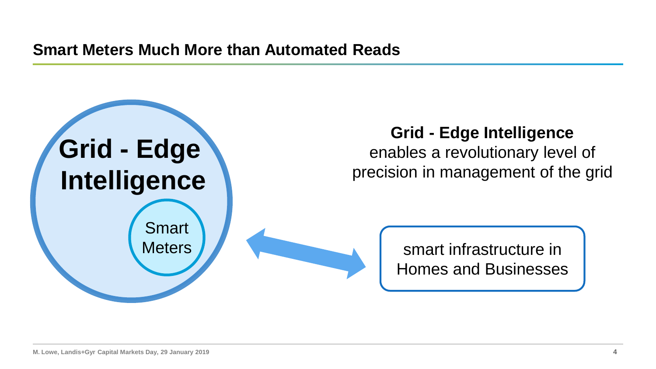

# **Grid - Edge Intelligence**

enables a revolutionary level of precision in management of the grid

> smart infrastructure in Homes and Businesses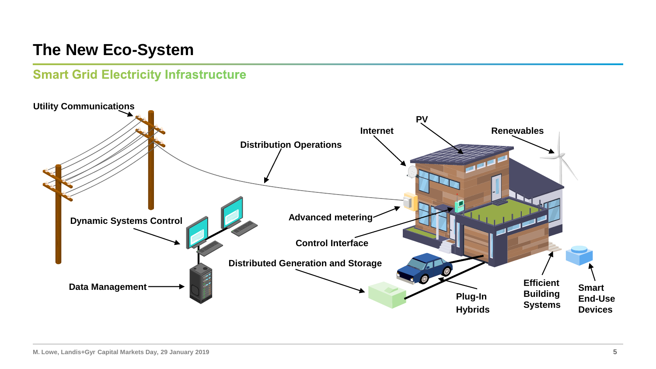# **The New Eco-System**

#### **Smart Grid Electricity Infrastructure**

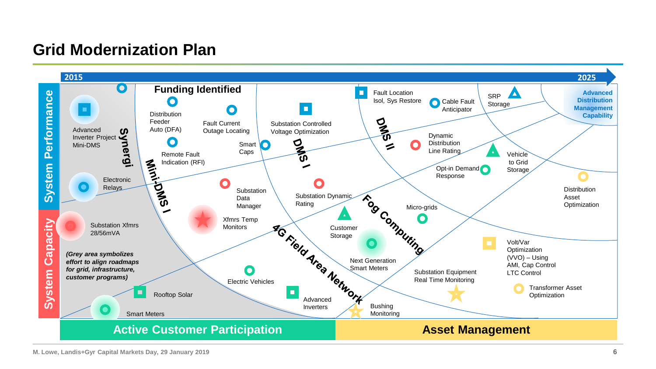# **Grid Modernization Plan**

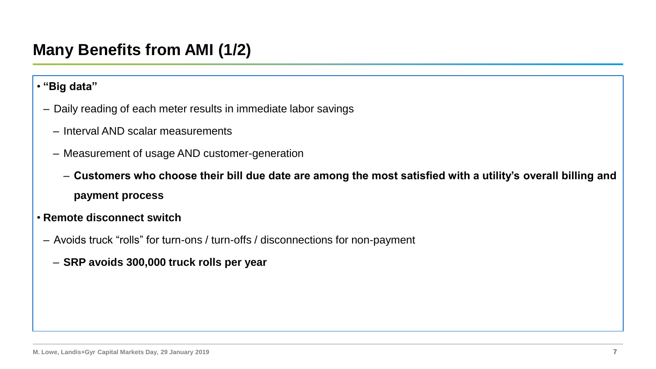# **Many Benefits from AMI (1/2)**

#### • **"Big data"**

- Daily reading of each meter results in immediate labor savings
	- Interval AND scalar measurements
	- Measurement of usage AND customer-generation

– **Customers who choose their bill due date are among the most satisfied with a utility's overall billing and payment process**

- **Remote disconnect switch**
- Avoids truck "rolls" for turn-ons / turn-offs / disconnections for non-payment
	- **SRP avoids 300,000 truck rolls per year**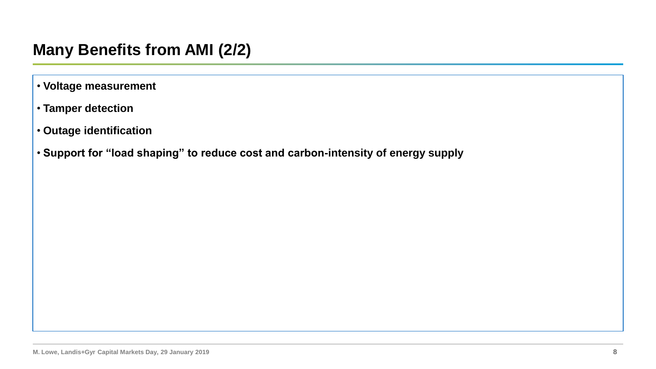# **Many Benefits from AMI (2/2)**

- **Voltage measurement**
- **Tamper detection**
- **Outage identification**
- **Support for "load shaping" to reduce cost and carbon-intensity of energy supply**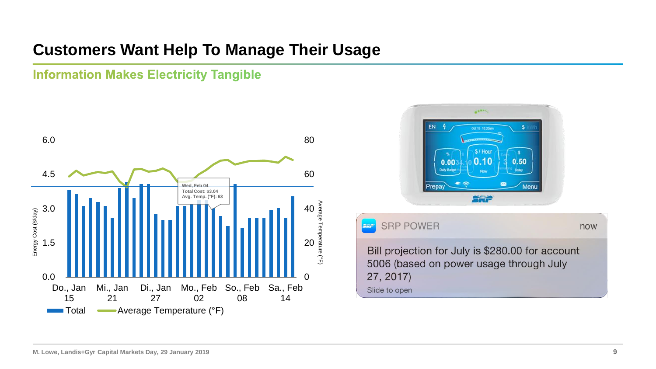# **Customers Want Help To Manage Their Usage**

#### **Information Makes Electricity Tangible**



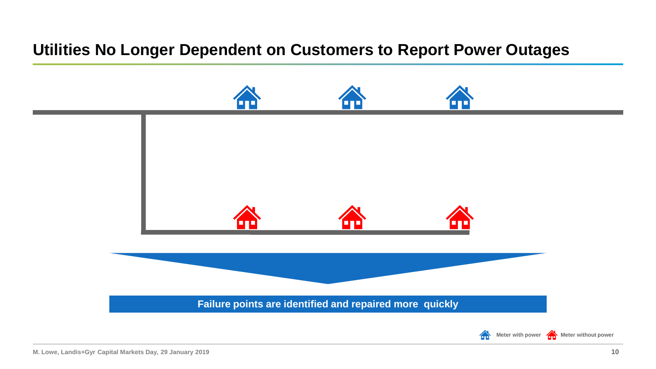# **Utilities No Longer Dependent on Customers to Report Power Outages**

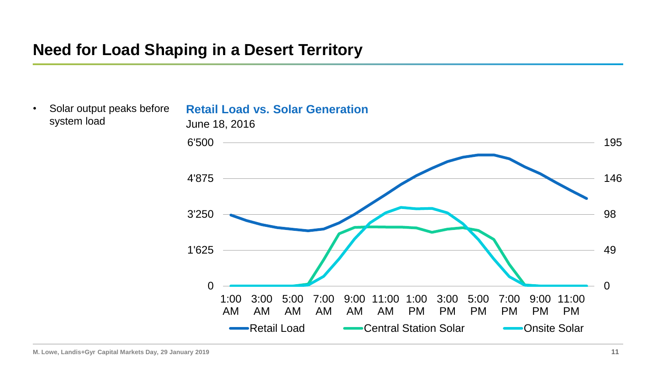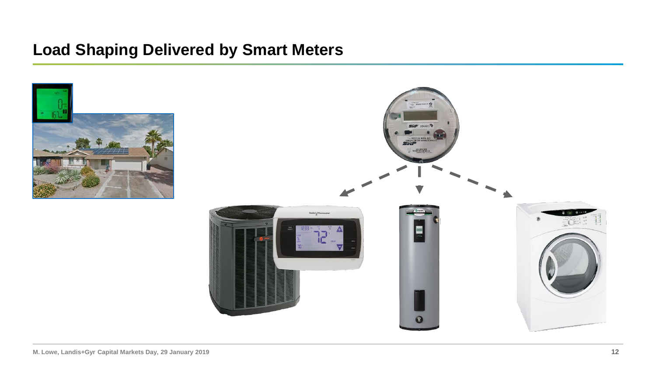## **Load Shaping Delivered by Smart Meters**

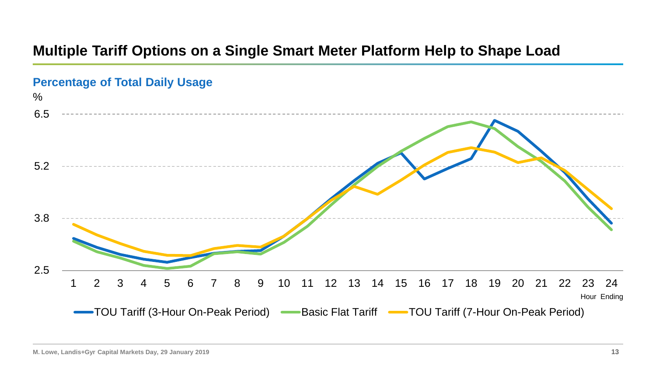### **Multiple Tariff Options on a Single Smart Meter Platform Help to Shape Load**

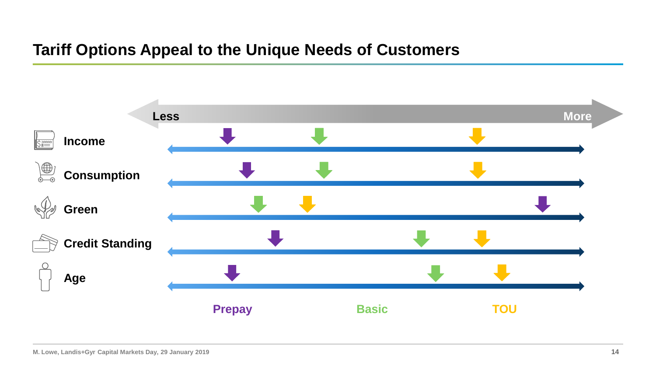# **Tariff Options Appeal to the Unique Needs of Customers**